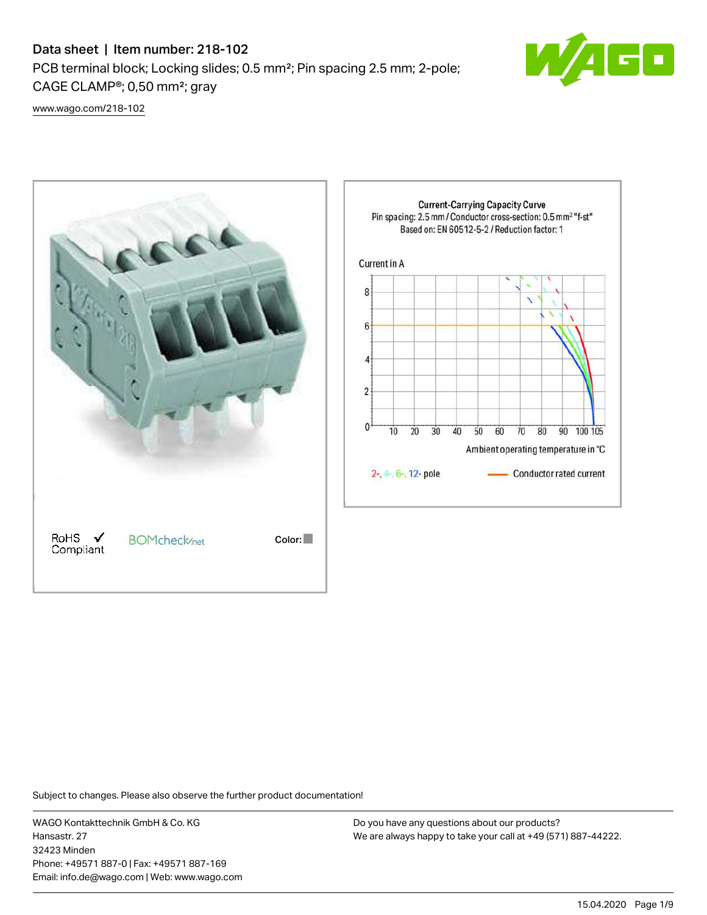## Data sheet | Item number: 218-102

PCB terminal block; Locking slides; 0.5 mm²; Pin spacing 2.5 mm; 2-pole; CAGE CLAMP®; 0,50 mm²; gray



[www.wago.com/218-102](http://www.wago.com/218-102)



Subject to changes. Please also observe the further product documentation!

WAGO Kontakttechnik GmbH & Co. KG Hansastr. 27 32423 Minden Phone: +49571 887-0 | Fax: +49571 887-169 Email: info.de@wago.com | Web: www.wago.com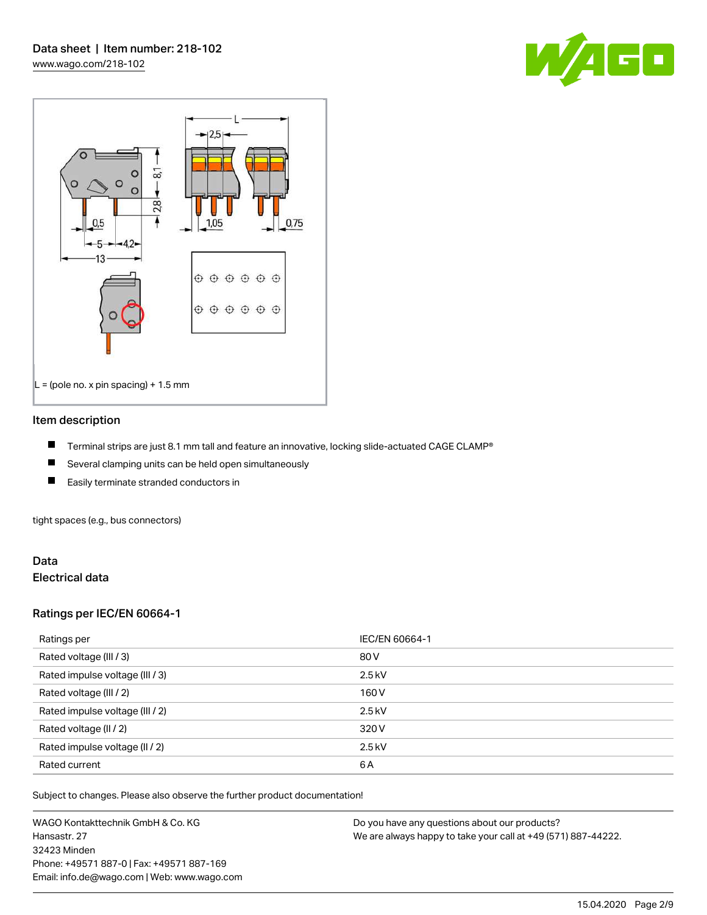



#### Item description

- П Terminal strips are just 8.1 mm tall and feature an innovative, locking slide-actuated CAGE CLAMP®
- $\blacksquare$ Several clamping units can be held open simultaneously
- П Easily terminate stranded conductors in

tight spaces (e.g., bus connectors)

#### Data Electrical data

#### Ratings per IEC/EN 60664-1

| Ratings per                     | IEC/EN 60664-1 |
|---------------------------------|----------------|
| Rated voltage (III / 3)         | 80 V           |
| Rated impulse voltage (III / 3) | $2.5$ kV       |
| Rated voltage (III / 2)         | 160 V          |
| Rated impulse voltage (III / 2) | $2.5$ kV       |
| Rated voltage (II / 2)          | 320 V          |
| Rated impulse voltage (II / 2)  | $2.5$ kV       |
| Rated current                   | 6A             |

Subject to changes. Please also observe the further product documentation!

WAGO Kontakttechnik GmbH & Co. KG Hansastr. 27 32423 Minden Phone: +49571 887-0 | Fax: +49571 887-169 Email: info.de@wago.com | Web: www.wago.com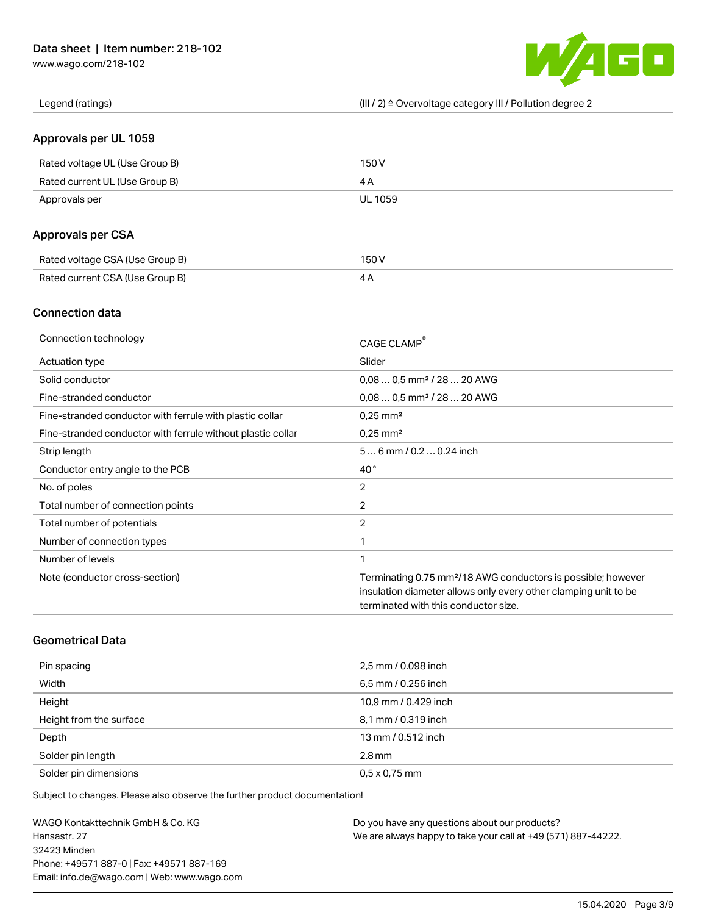[www.wago.com/218-102](http://www.wago.com/218-102)



Legend (ratings) (III / 2) ≙ Overvoltage category III / Pollution degree 2

## Approvals per UL 1059

| Rated voltage UL (Use Group B) | 150 V   |
|--------------------------------|---------|
| Rated current UL (Use Group B) |         |
| Approvals per                  | UL 1059 |

## Approvals per CSA

| Rated voltage CSA (Use Group B) | 150 V |
|---------------------------------|-------|
| Rated current CSA (Use Group B) |       |

## Connection data

| Connection technology                                       | CAGE CLAMP <sup>®</sup>                                                  |
|-------------------------------------------------------------|--------------------------------------------------------------------------|
| Actuation type                                              | Slider                                                                   |
| Solid conductor                                             | $0.080.5$ mm <sup>2</sup> / 28  20 AWG                                   |
| Fine-stranded conductor                                     | $0.080.5$ mm <sup>2</sup> / 28  20 AWG                                   |
| Fine-stranded conductor with ferrule with plastic collar    | $0.25$ mm <sup>2</sup>                                                   |
| Fine-stranded conductor with ferrule without plastic collar | $0.25$ mm <sup>2</sup>                                                   |
| Strip length                                                | $56$ mm $/ 0.20.24$ inch                                                 |
| Conductor entry angle to the PCB                            | $40^{\circ}$                                                             |
| No. of poles                                                | 2                                                                        |
| Total number of connection points                           | $\overline{2}$                                                           |
| Total number of potentials                                  | 2                                                                        |
| Number of connection types                                  | 1                                                                        |
| Number of levels                                            | 1                                                                        |
| Note (conductor cross-section)                              | Terminating 0.75 mm <sup>2</sup> /18 AWG conductors is possible; however |
|                                                             | insulation diameter allows only every other clamping unit to be          |
|                                                             | terminated with this conductor size.                                     |

## Geometrical Data

| Pin spacing             | 2,5 mm / 0.098 inch  |
|-------------------------|----------------------|
| Width                   | 6,5 mm / 0.256 inch  |
| Height                  | 10,9 mm / 0.429 inch |
| Height from the surface | 8,1 mm / 0.319 inch  |
| Depth                   | 13 mm / 0.512 inch   |
| Solder pin length       | $2.8$ mm             |
| Solder pin dimensions   | $0.5 \times 0.75$ mm |

Subject to changes. Please also observe the further product documentation!

WAGO Kontakttechnik GmbH & Co. KG Hansastr. 27 32423 Minden Phone: +49571 887-0 | Fax: +49571 887-169 Email: info.de@wago.com | Web: www.wago.com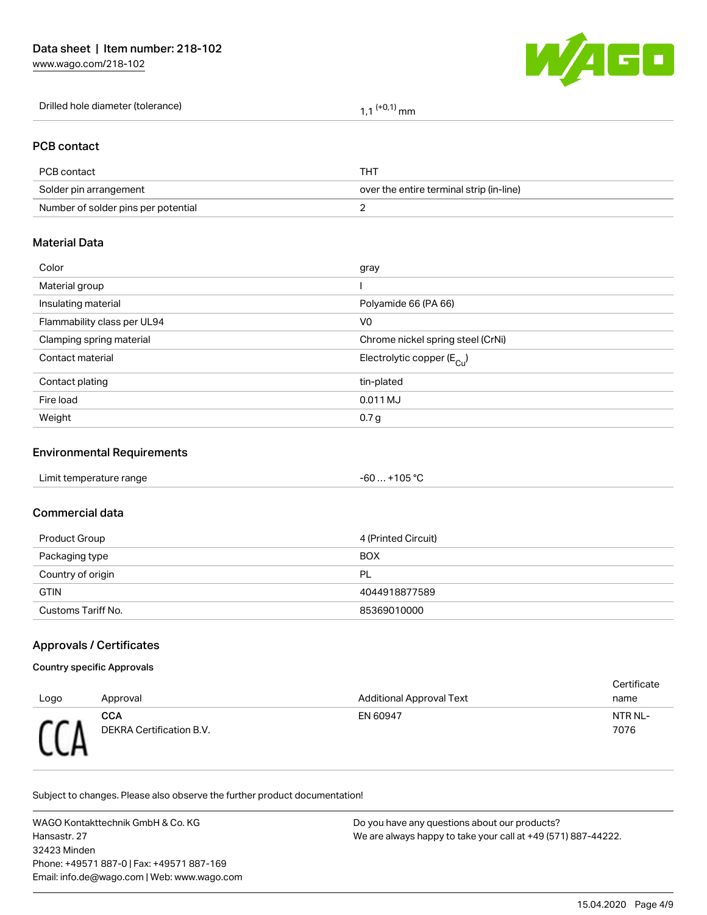[www.wago.com/218-102](http://www.wago.com/218-102)



| Drilled hole diameter (tolerance) | $(1+0,1)$ mm |
|-----------------------------------|--------------|
|-----------------------------------|--------------|

#### PCB contact

| PCB contact                         | THT                                      |
|-------------------------------------|------------------------------------------|
| Solder pin arrangement              | over the entire terminal strip (in-line) |
| Number of solder pins per potential |                                          |

#### Material Data

| Color                       | gray                                   |
|-----------------------------|----------------------------------------|
| Material group              |                                        |
| Insulating material         | Polyamide 66 (PA 66)                   |
| Flammability class per UL94 | V <sub>0</sub>                         |
| Clamping spring material    | Chrome nickel spring steel (CrNi)      |
| Contact material            | Electrolytic copper (E <sub>Cu</sub> ) |
| Contact plating             | tin-plated                             |
| Fire load                   | 0.011 MJ                               |
| Weight                      | 0.7 <sub>g</sub>                       |
|                             |                                        |

## Environmental Requirements

#### Commercial data

| Product Group      | 4 (Printed Circuit) |
|--------------------|---------------------|
| Packaging type     | <b>BOX</b>          |
| Country of origin  | PL                  |
| <b>GTIN</b>        | 4044918877589       |
| Customs Tariff No. | 85369010000         |

## Approvals / Certificates

#### Country specific Approvals

|      |                                        |                                 | Certificate     |
|------|----------------------------------------|---------------------------------|-----------------|
| Logo | Approval                               | <b>Additional Approval Text</b> | name            |
|      | <b>CCA</b><br>DEKRA Certification B.V. | EN 60947                        | NTR NL-<br>7076 |

Subject to changes. Please also observe the further product documentation!

WAGO Kontakttechnik GmbH & Co. KG Hansastr. 27 32423 Minden Phone: +49571 887-0 | Fax: +49571 887-169 Email: info.de@wago.com | Web: www.wago.com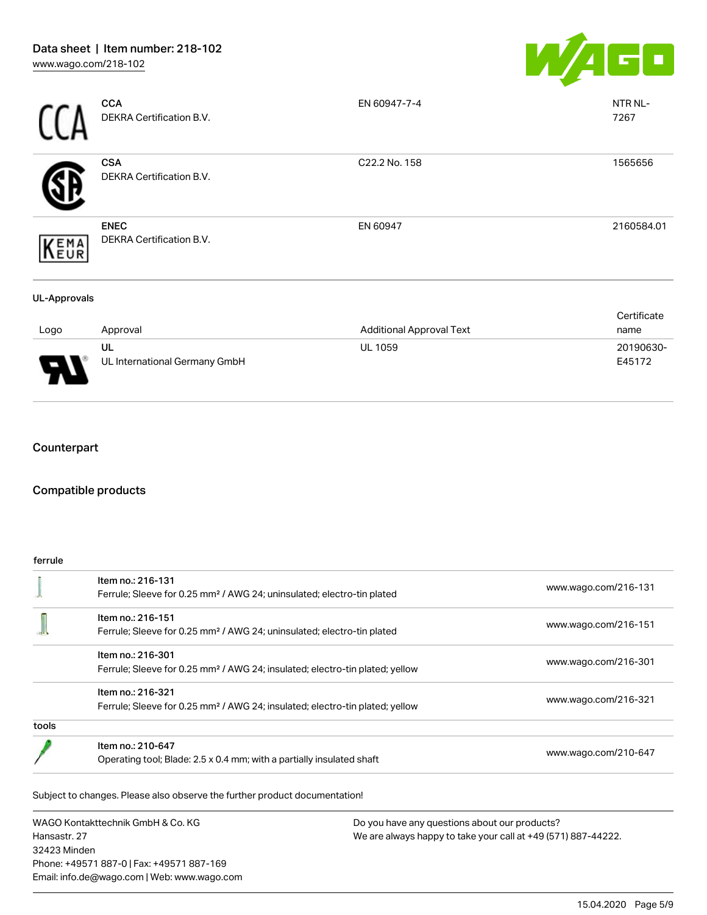

|                     | <b>CCA</b><br>DEKRA Certification B.V.  | EN 60947-7-4                    | NTR NL-<br>7267     |
|---------------------|-----------------------------------------|---------------------------------|---------------------|
|                     | <b>CSA</b><br>DEKRA Certification B.V.  | C22.2 No. 158                   | 1565656             |
| (EMA<br>LEUR        | <b>ENEC</b><br>DEKRA Certification B.V. | EN 60947                        | 2160584.01          |
| <b>UL-Approvals</b> |                                         |                                 |                     |
| Logo                | Approval                                | <b>Additional Approval Text</b> | Certificate<br>name |
|                     | UL<br>UL International Germany GmbH     | <b>UL 1059</b>                  | 20190630-<br>E45172 |

## Counterpart

## Compatible products

#### ferrule

|       | Item no.: 216-131                                                                        |                      |  |
|-------|------------------------------------------------------------------------------------------|----------------------|--|
|       | Ferrule; Sleeve for 0.25 mm <sup>2</sup> / AWG 24; uninsulated; electro-tin plated       | www.wago.com/216-131 |  |
|       | Item no.: 216-151                                                                        |                      |  |
|       | Ferrule; Sleeve for 0.25 mm <sup>2</sup> / AWG 24; uninsulated; electro-tin plated       | www.wago.com/216-151 |  |
|       | Item no.: 216-301                                                                        |                      |  |
|       | Ferrule; Sleeve for 0.25 mm <sup>2</sup> / AWG 24; insulated; electro-tin plated; yellow | www.wago.com/216-301 |  |
|       | Item no.: 216-321                                                                        |                      |  |
|       | Ferrule; Sleeve for 0.25 mm <sup>2</sup> / AWG 24; insulated; electro-tin plated; yellow | www.wago.com/216-321 |  |
| tools |                                                                                          |                      |  |
|       | Item no.: 210-647                                                                        |                      |  |
|       | Operating tool; Blade: 2.5 x 0.4 mm; with a partially insulated shaft                    | www.wago.com/210-647 |  |

WAGO Kontakttechnik GmbH & Co. KG Hansastr. 27 32423 Minden Phone: +49571 887-0 | Fax: +49571 887-169 Email: info.de@wago.com | Web: www.wago.com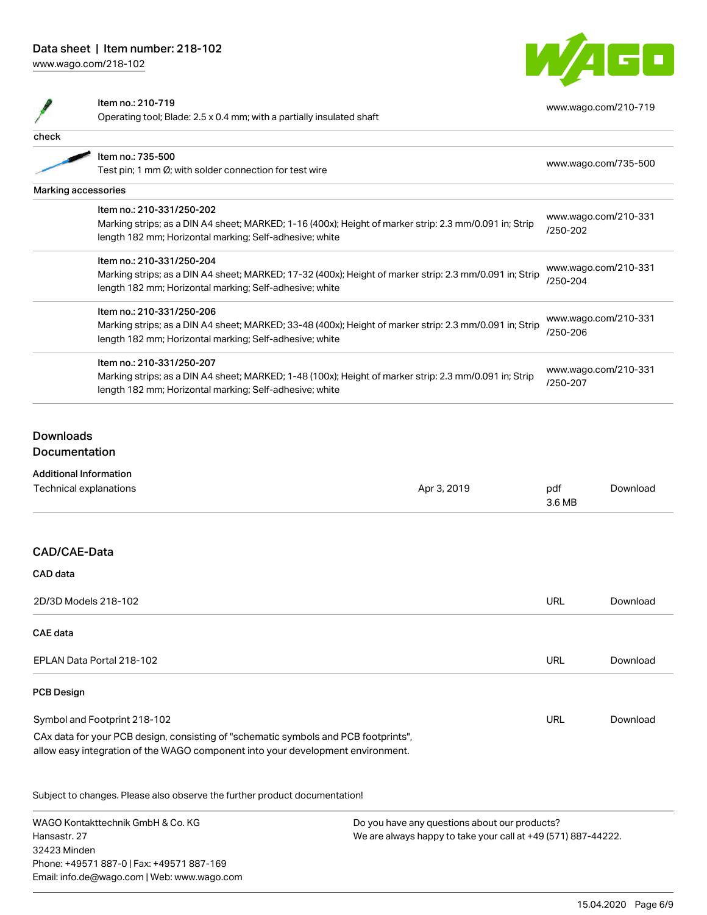## Data sheet | Item number: 218-102

[www.wago.com/218-102](http://www.wago.com/218-102)



|                  | Item no.: 210-719                                                                                       |  |                                  | www.wago.com/210-719 |
|------------------|---------------------------------------------------------------------------------------------------------|--|----------------------------------|----------------------|
|                  | Operating tool; Blade: 2.5 x 0.4 mm; with a partially insulated shaft                                   |  |                                  |                      |
| check            |                                                                                                         |  |                                  |                      |
|                  | Item no.: 735-500                                                                                       |  | www.wago.com/735-500             |                      |
|                  | Test pin; 1 mm Ø; with solder connection for test wire                                                  |  |                                  |                      |
|                  | Marking accessories                                                                                     |  |                                  |                      |
|                  | Item no.: 210-331/250-202                                                                               |  | www.wago.com/210-331<br>/250-202 |                      |
|                  | Marking strips; as a DIN A4 sheet; MARKED; 1-16 (400x); Height of marker strip: 2.3 mm/0.091 in; Strip  |  |                                  |                      |
|                  | length 182 mm; Horizontal marking; Self-adhesive; white                                                 |  |                                  |                      |
|                  | Item no.: 210-331/250-204                                                                               |  |                                  |                      |
|                  | Marking strips; as a DIN A4 sheet; MARKED; 17-32 (400x); Height of marker strip: 2.3 mm/0.091 in; Strip |  | www.wago.com/210-331<br>/250-204 |                      |
|                  | length 182 mm; Horizontal marking; Self-adhesive; white                                                 |  |                                  |                      |
|                  | Item no.: 210-331/250-206                                                                               |  |                                  |                      |
|                  | Marking strips; as a DIN A4 sheet; MARKED; 33-48 (400x); Height of marker strip: 2.3 mm/0.091 in; Strip |  | www.wago.com/210-331             |                      |
|                  | length 182 mm; Horizontal marking; Self-adhesive; white                                                 |  | /250-206                         |                      |
|                  | Item no.: 210-331/250-207                                                                               |  |                                  |                      |
|                  | Marking strips; as a DIN A4 sheet; MARKED; 1-48 (100x); Height of marker strip: 2.3 mm/0.091 in; Strip  |  |                                  | www.wago.com/210-331 |
|                  | length 182 mm; Horizontal marking; Self-adhesive; white                                                 |  | /250-207                         |                      |
|                  |                                                                                                         |  |                                  |                      |
| <b>Downloads</b> |                                                                                                         |  |                                  |                      |
|                  | Documentation                                                                                           |  |                                  |                      |
|                  | <b>Additional Information</b>                                                                           |  |                                  |                      |
|                  | <b>Technical explanations</b><br>Apr 3, 2019                                                            |  | pdf                              | Download             |
|                  |                                                                                                         |  | 3.6 MB                           |                      |
|                  |                                                                                                         |  |                                  |                      |
|                  | CAD/CAE-Data                                                                                            |  |                                  |                      |
| <b>CAD</b> data  |                                                                                                         |  |                                  |                      |
|                  | 2D/3D Models 218-102                                                                                    |  | URL                              | Download             |
| <b>CAE data</b>  |                                                                                                         |  |                                  |                      |
|                  | EPLAN Data Portal 218-102                                                                               |  | URL                              | Download             |
|                  |                                                                                                         |  |                                  |                      |

#### PCB Design

| Symbol and Footprint 218-102                                                        | URL | Download |  |  |
|-------------------------------------------------------------------------------------|-----|----------|--|--|
| CAx data for your PCB design, consisting of "schematic symbols and PCB footprints", |     |          |  |  |
| allow easy integration of the WAGO component into your development environment.     |     |          |  |  |

Subject to changes. Please also observe the further product documentation!

WAGO Kontakttechnik GmbH & Co. KG Hansastr. 27 32423 Minden Phone: +49571 887-0 | Fax: +49571 887-169 Email: info.de@wago.com | Web: www.wago.com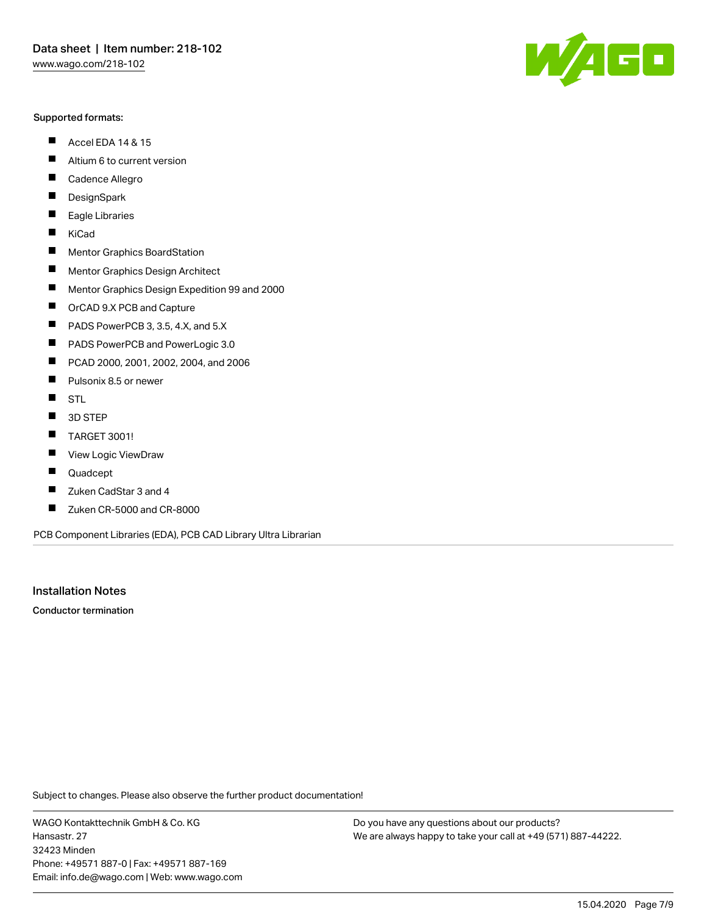#### Supported formats:

- $\blacksquare$ Accel EDA 14 & 15
- $\blacksquare$ Altium 6 to current version
- $\blacksquare$ Cadence Allegro
- $\blacksquare$ **DesignSpark**
- $\blacksquare$ Eagle Libraries
- $\blacksquare$ KiCad
- $\blacksquare$ Mentor Graphics BoardStation
- $\blacksquare$ Mentor Graphics Design Architect
- $\blacksquare$ Mentor Graphics Design Expedition 99 and 2000
- $\blacksquare$ OrCAD 9.X PCB and Capture
- $\blacksquare$ PADS PowerPCB 3, 3.5, 4.X, and 5.X
- $\blacksquare$ PADS PowerPCB and PowerLogic 3.0
- $\blacksquare$ PCAD 2000, 2001, 2002, 2004, and 2006
- $\blacksquare$ Pulsonix 8.5 or newer
- $\blacksquare$ STL
- 3D STEP П
- П TARGET 3001!
- $\blacksquare$ View Logic ViewDraw
- П Quadcept
- $\blacksquare$ Zuken CadStar 3 and 4
- Zuken CR-5000 and CR-8000 П

PCB Component Libraries (EDA), PCB CAD Library Ultra Librarian

Installation Notes

Conductor termination

Subject to changes. Please also observe the further product documentation!

WAGO Kontakttechnik GmbH & Co. KG Hansastr. 27 32423 Minden Phone: +49571 887-0 | Fax: +49571 887-169 Email: info.de@wago.com | Web: www.wago.com

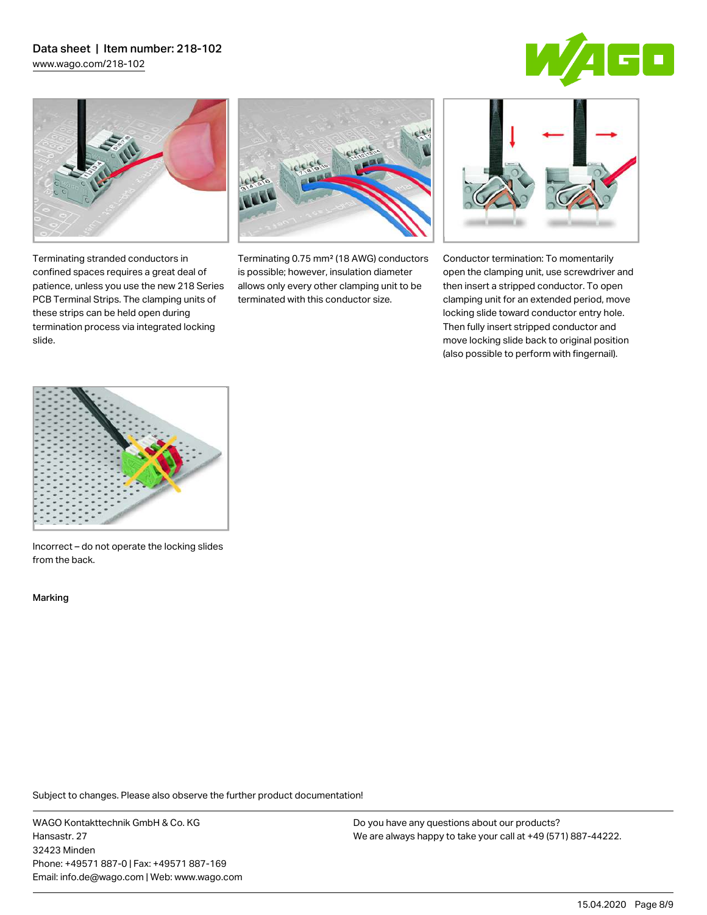# Data sheet | Item number: 218-102

[www.wago.com/218-102](http://www.wago.com/218-102)





Terminating stranded conductors in confined spaces requires a great deal of patience, unless you use the new 218 Series PCB Terminal Strips. The clamping units of these strips can be held open during termination process via integrated locking

Terminating 0.75 mm² (18 AWG) conductors is possible; however, insulation diameter allows only every other clamping unit to be terminated with this conductor size.



Conductor termination: To momentarily open the clamping unit, use screwdriver and then insert a stripped conductor. To open clamping unit for an extended period, move locking slide toward conductor entry hole. Then fully insert stripped conductor and move locking slide back to original position (also possible to perform with fingernail).



Incorrect – do not operate the locking slides from the back.

Marking

slide.

Subject to changes. Please also observe the further product documentation!

WAGO Kontakttechnik GmbH & Co. KG Hansastr. 27 32423 Minden Phone: +49571 887-0 | Fax: +49571 887-169 Email: info.de@wago.com | Web: www.wago.com